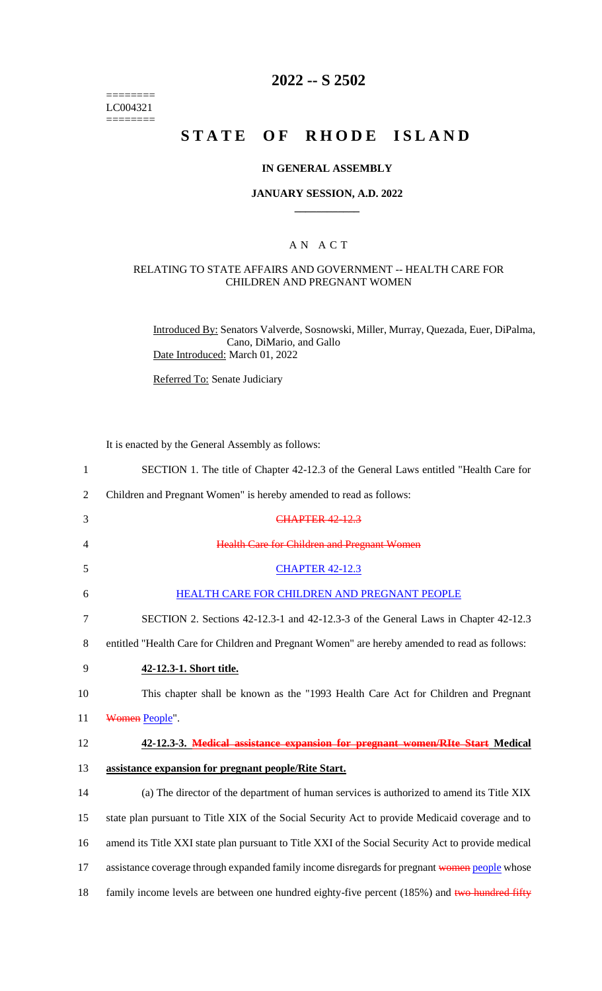======== LC004321  $=$ 

# **2022 -- S 2502**

# **STATE OF RHODE ISLAND**

#### **IN GENERAL ASSEMBLY**

#### **JANUARY SESSION, A.D. 2022 \_\_\_\_\_\_\_\_\_\_\_\_**

### A N A C T

#### RELATING TO STATE AFFAIRS AND GOVERNMENT -- HEALTH CARE FOR CHILDREN AND PREGNANT WOMEN

Introduced By: Senators Valverde, Sosnowski, Miller, Murray, Quezada, Euer, DiPalma, Cano, DiMario, and Gallo Date Introduced: March 01, 2022

Referred To: Senate Judiciary

It is enacted by the General Assembly as follows:

| 1              | SECTION 1. The title of Chapter 42-12.3 of the General Laws entitled "Health Care for              |
|----------------|----------------------------------------------------------------------------------------------------|
| $\overline{2}$ | Children and Pregnant Women" is hereby amended to read as follows:                                 |
| 3              | <b>CHAPTER 42-12.3</b>                                                                             |
| 4              | <b>Health Care for Children and Pregnant Women</b>                                                 |
| 5              | <b>CHAPTER 42-12.3</b>                                                                             |
| 6              | HEALTH CARE FOR CHILDREN AND PREGNANT PEOPLE                                                       |
| $\tau$         | SECTION 2. Sections 42-12.3-1 and 42-12.3-3 of the General Laws in Chapter 42-12.3                 |
| 8              | entitled "Health Care for Children and Pregnant Women" are hereby amended to read as follows:      |
| 9              | 42-12.3-1. Short title.                                                                            |
| 10             | This chapter shall be known as the "1993 Health Care Act for Children and Pregnant                 |
| 11             | Women People".                                                                                     |
| 12             | 42-12.3-3. Medical assistance expansion for pregnant women/RIte Start Medical                      |
| 13             | assistance expansion for pregnant people/Rite Start.                                               |
| 14             | (a) The director of the department of human services is authorized to amend its Title XIX          |
| 15             | state plan pursuant to Title XIX of the Social Security Act to provide Medicaid coverage and to    |
| 16             | amend its Title XXI state plan pursuant to Title XXI of the Social Security Act to provide medical |
| 17             | assistance coverage through expanded family income disregards for pregnant women people whose      |
| 18             | family income levels are between one hundred eighty-five percent (185%) and two hundred fifty      |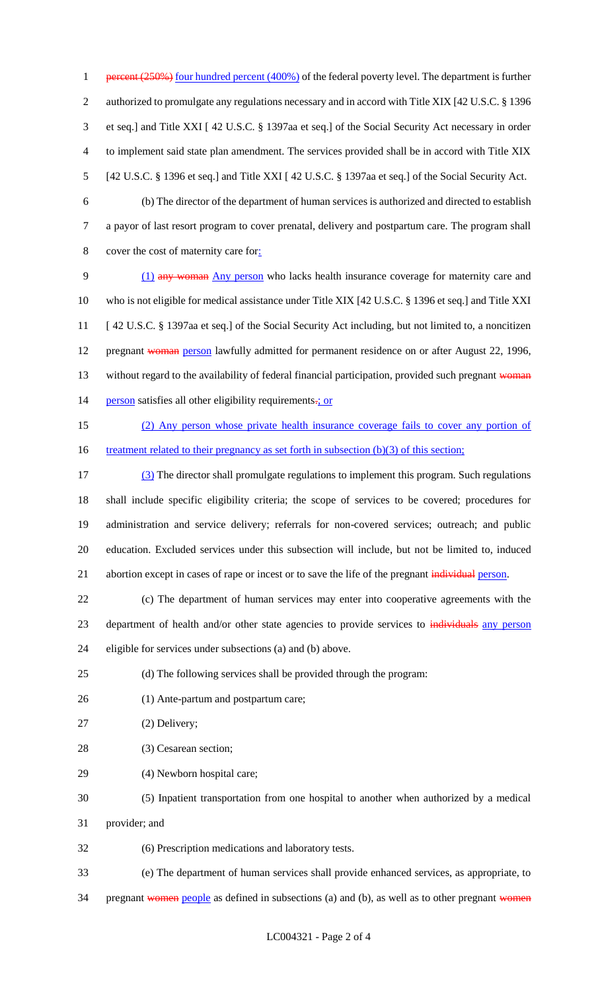1 percent (250%) four hundred percent (400%) of the federal poverty level. The department is further authorized to promulgate any regulations necessary and in accord with Title XIX [42 U.S.C. § 1396 et seq.] and Title XXI [ 42 U.S.C. § 1397aa et seq.] of the Social Security Act necessary in order to implement said state plan amendment. The services provided shall be in accord with Title XIX [42 U.S.C. § 1396 et seq.] and Title XXI [ 42 U.S.C. § 1397aa et seq.] of the Social Security Act.

 (b) The director of the department of human services is authorized and directed to establish a payor of last resort program to cover prenatal, delivery and postpartum care. The program shall cover the cost of maternity care for:

 (1) any woman Any person who lacks health insurance coverage for maternity care and who is not eligible for medical assistance under Title XIX [42 U.S.C. § 1396 et seq.] and Title XXI [ 42 U.S.C. § 1397aa et seq.] of the Social Security Act including, but not limited to, a noncitizen 12 pregnant woman person lawfully admitted for permanent residence on or after August 22, 1996, 13 without regard to the availability of federal financial participation, provided such pregnant woman 14 person satisfies all other eligibility requirements-; or

 (2) Any person whose private health insurance coverage fails to cover any portion of 16 treatment related to their pregnancy as set forth in subsection (b)(3) of this section;

 (3) The director shall promulgate regulations to implement this program. Such regulations shall include specific eligibility criteria; the scope of services to be covered; procedures for administration and service delivery; referrals for non-covered services; outreach; and public education. Excluded services under this subsection will include, but not be limited to, induced 21 abortion except in cases of rape or incest or to save the life of the pregnant individual person.

 (c) The department of human services may enter into cooperative agreements with the 23 department of health and/or other state agencies to provide services to individuals any person eligible for services under subsections (a) and (b) above.

(d) The following services shall be provided through the program:

- (1) Ante-partum and postpartum care;
- (2) Delivery;
- (3) Cesarean section;
- (4) Newborn hospital care;
- (5) Inpatient transportation from one hospital to another when authorized by a medical
- provider; and

(6) Prescription medications and laboratory tests.

(e) The department of human services shall provide enhanced services, as appropriate, to

34 pregnant women people as defined in subsections (a) and (b), as well as to other pregnant women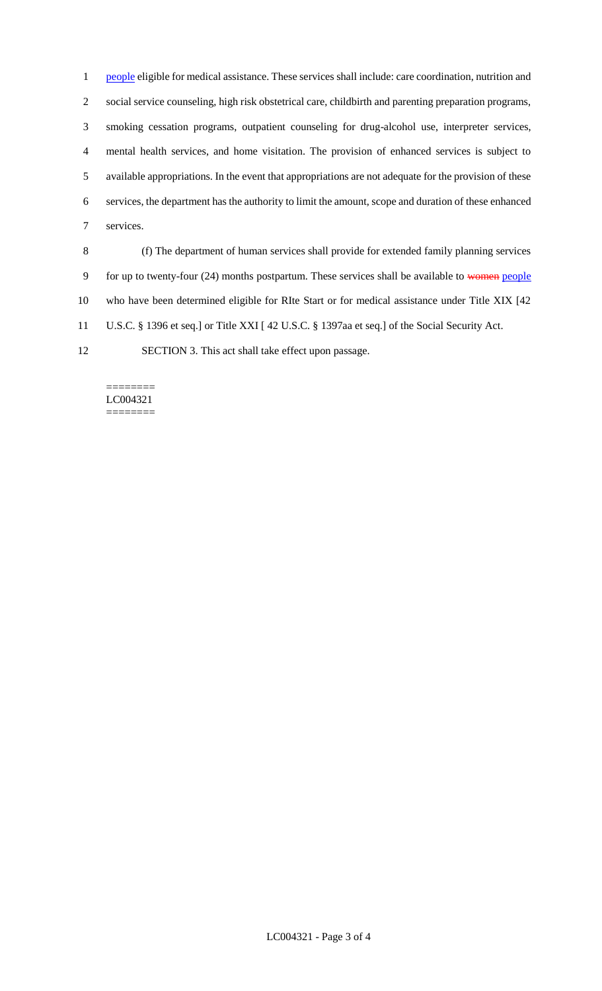1 people eligible for medical assistance. These services shall include: care coordination, nutrition and social service counseling, high risk obstetrical care, childbirth and parenting preparation programs, smoking cessation programs, outpatient counseling for drug-alcohol use, interpreter services, mental health services, and home visitation. The provision of enhanced services is subject to available appropriations. In the event that appropriations are not adequate for the provision of these services, the department has the authority to limit the amount, scope and duration of these enhanced services.

 (f) The department of human services shall provide for extended family planning services 9 for up to twenty-four (24) months postpartum. These services shall be available to women people who have been determined eligible for RIte Start or for medical assistance under Title XIX [42 U.S.C. § 1396 et seq.] or Title XXI [ 42 U.S.C. § 1397aa et seq.] of the Social Security Act.

SECTION 3. This act shall take effect upon passage.

======== LC004321 ========